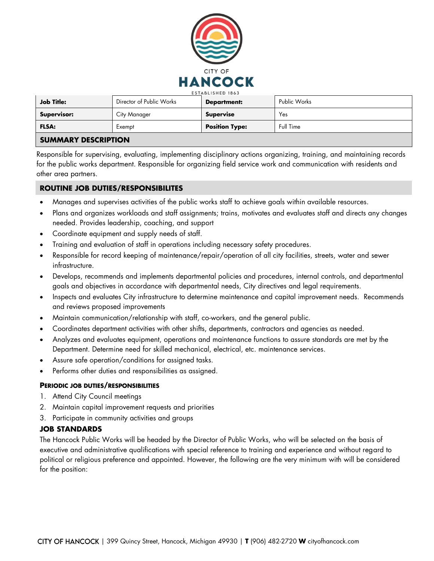

| <b>Job Title:</b>     | Director of Public Works | <b>Department:</b>    | Public Works |  |  |
|-----------------------|--------------------------|-----------------------|--------------|--|--|
| <b>Supervisor:</b>    | City Manager             | <b>Supervise</b>      | Yes          |  |  |
| <b>FLSA:</b>          | Exempt                   | <b>Position Type:</b> | Full Time    |  |  |
| CIIMMADY RECORDIDTION |                          |                       |              |  |  |

# **SUMMARY DESCRIPTION**

Responsible for supervising, evaluating, implementing disciplinary actions organizing, training, and maintaining records for the public works department. Responsible for organizing field service work and communication with residents and other area partners.

# **ROUTINE JOB DUTIES/RESPONSIBILITES**

- Manages and supervises activities of the public works staff to achieve goals within available resources.
- Plans and organizes workloads and staff assignments; trains, motivates and evaluates staff and directs any changes needed. Provides leadership, coaching, and support
- Coordinate equipment and supply needs of staff.
- Training and evaluation of staff in operations including necessary safety procedures.
- Responsible for record keeping of maintenance/repair/operation of all city facilities, streets, water and sewer infrastructure.
- Develops, recommends and implements departmental policies and procedures, internal controls, and departmental goals and objectives in accordance with departmental needs, City directives and legal requirements.
- Inspects and evaluates City infrastructure to determine maintenance and capital improvement needs. Recommends and reviews proposed improvements
- Maintain communication/relationship with staff, co-workers, and the general public.
- Coordinates department activities with other shifts, departments, contractors and agencies as needed.
- Analyzes and evaluates equipment, operations and maintenance functions to assure standards are met by the Department. Determine need for skilled mechanical, electrical, etc. maintenance services.
- Assure safe operation/conditions for assigned tasks.
- Performs other duties and responsibilities as assigned.

### **PERIODIC JOB DUTIES/RESPONSIBILITIES**

- 1. Attend City Council meetings
- 2. Maintain capital improvement requests and priorities
- 3. Participate in community activities and groups

### **JOB STANDARDS**

The Hancock Public Works will be headed by the Director of Public Works, who will be selected on the basis of executive and administrative qualifications with special reference to training and experience and without regard to political or religious preference and appointed. However, the following are the very minimum with will be considered for the position: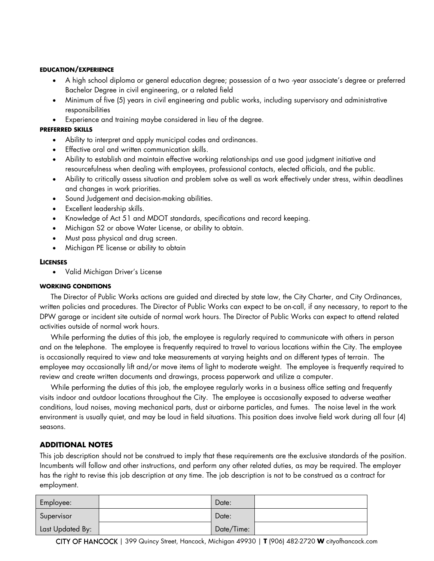### **EDUCATION/EXPERIENCE**

- A high school diploma or general education degree; possession of a two -year associate's degree or preferred Bachelor Degree in civil engineering, or a related field
- Minimum of five (5) years in civil engineering and public works, including supervisory and administrative responsibilities
- Experience and training maybe considered in lieu of the degree.

#### **PREFERRED SKILLS**

- Ability to interpret and apply municipal codes and ordinances.
- Effective oral and written communication skills.
- Ability to establish and maintain effective working relationships and use good judgment initiative and resourcefulness when dealing with employees, professional contacts, elected officials, and the public.
- Ability to critically assess situation and problem solve as well as work effectively under stress, within deadlines and changes in work priorities.
- Sound Judgement and decision-making abilities.
- Excellent leadership skills.
- Knowledge of Act 51 and MDOT standards, specifications and record keeping.
- Michigan S2 or above Water License, or ability to obtain.
- Must pass physical and drug screen.
- Michigan PE license or ability to obtain

#### **LICENSES**

• Valid Michigan Driver's License

### **WORKING CONDITIONS**

 The Director of Public Works actions are guided and directed by state law, the City Charter, and City Ordinances, written policies and procedures. The Director of Public Works can expect to be on-call, if any necessary, to report to the DPW garage or incident site outside of normal work hours. The Director of Public Works can expect to attend related activities outside of normal work hours.

 While performing the duties of this job, the employee is regularly required to communicate with others in person and on the telephone. The employee is frequently required to travel to various locations within the City. The employee is occasionally required to view and take measurements at varying heights and on different types of terrain. The employee may occasionally lift and/or move items of light to moderate weight. The employee is frequently required to review and create written documents and drawings, process paperwork and utilize a computer.

 While performing the duties of this job, the employee regularly works in a business office setting and frequently visits indoor and outdoor locations throughout the City. The employee is occasionally exposed to adverse weather conditions, loud noises, moving mechanical parts, dust or airborne particles, and fumes. The noise level in the work environment is usually quiet, and may be loud in field situations. This position does involve field work during all four (4) seasons.

# **ADDITIONAL NOTES**

This job description should not be construed to imply that these requirements are the exclusive standards of the position. Incumbents will follow and other instructions, and perform any other related duties, as may be required. The employer has the right to revise this job description at any time. The job description is not to be construed as a contract for employment.

| Employee:        | Date:      |  |
|------------------|------------|--|
| Supervisor       | Date:      |  |
| Last Updated By: | Date/Time: |  |

| 399 Quincy Street, Hancock, Michigan 49930 | **T** (906) 482-2720 **W** cityofhancock.com